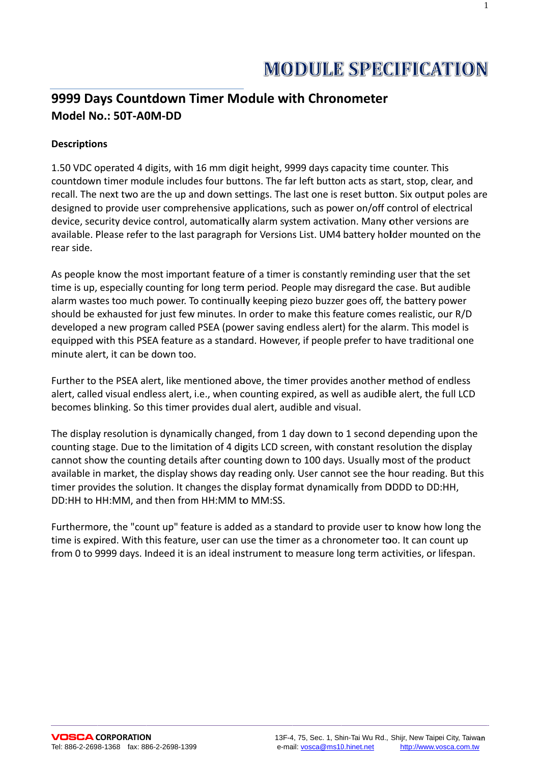$\mathbf{1}$ 

# 9999 Days Countdown Timer Module with Chronometer Model No.: 50T-A0M-DD

## **Descriptions**

1.50 VDC operated 4 digits, with 16 mm digit height, 9999 days capacity time counter. This countdown timer module includes four buttons. The far left button acts as start, stop, clear, and recall. The next two are the up and down settings. The last one is reset button. Six output poles are designed to provide user comprehensive applications, such as power on/off control of electrical device, security device control, automatically alarm system activation. Many other versions are available. Please refer to the last paragraph for Versions List. UM4 battery holder mounted on the rear side

As people know the most important feature of a timer is constantly reminding user that the set time is up, especially counting for long term period. People may disregard the case. But audible alarm wastes too much power. To continually keeping piezo buzzer goes off, the battery power should be exhausted for just few minutes. In order to make this feature comes realistic, our R/D developed a new program called PSEA (power saving endless alert) for the alarm. This model is equipped with this PSEA feature as a standard. However, if people prefer to have traditional one minute alert, it can be down too.

Further to the PSEA alert, like mentioned above, the timer provides another method of endless alert, called visual endless alert, i.e., when counting expired, as well as audible alert, the full LCD becomes blinking. So this timer provides dual alert, audible and visual.

The display resolution is dynamically changed, from 1 day down to 1 second depending upon the counting stage. Due to the limitation of 4 digits LCD screen, with constant resolution the display cannot show the counting details after counting down to 100 days. Usually most of the product available in market, the display shows day reading only. User cannot see the hour reading. But this timer provides the solution. It changes the display format dynamically from DDDD to DD:HH, DD:HH to HH:MM, and then from HH:MM to MM:SS.

Furthermore, the "count up" feature is added as a standard to provide user to know how long the time is expired. With this feature, user can use the timer as a chronometer too. It can count up from 0 to 9999 days. Indeed it is an ideal instrument to measure long term activities, or lifespan.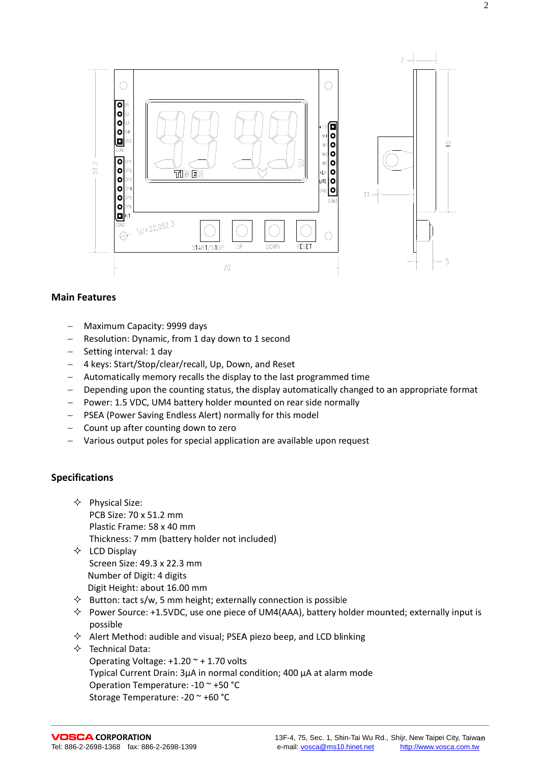

#### **Main Features**

- Maximum Capacity: 9999 days
- Resolution: Dynamic, from 1 day down to 1 second  $\equiv$
- $\equiv$ Setting interval: 1 day
- 4 keys: Start/Stop/clear/recall, Up, Down, and Reset
- Automatically memory recalls the display to the last programmed time
- Depending upon the counting status, the display automatically changed to an appropriate format
- Power: 1.5 VDC, UM4 battery holder mounted on rear side normally  $\equiv$
- PSEA (Power Saving Endless Alert) normally for this model
- $-$  Count up after counting down to zero
- Various output poles for special application are available upon request

#### **Specifications**

- $\Diamond$  Physical Size: PCB Size: 70 x 51.2 mm Plastic Frame: 58 x 40 mm Thickness: 7 mm (battery holder not included)
- $\Diamond$  LCD Display Screen Size: 49.3 x 22.3 mm Number of Digit: 4 digits Digit Height: about 16.00 mm
- $\Diamond$  Button: tact s/w, 5 mm height; externally connection is possible
- $\Diamond$  Power Source: +1.5VDC, use one piece of UM4(AAA), battery holder mounted; externally input is possible
- $\Diamond$  Alert Method: audible and visual; PSEA piezo beep, and LCD blinking
- $\Diamond$  Technical Data: Operating Voltage:  $+1.20 - + 1.70$  volts Typical Current Drain: 3µA in normal condition; 400 µA at alarm mode Operation Temperature: -10 ~ +50 °C Storage Temperature: -20 ~ +60 °C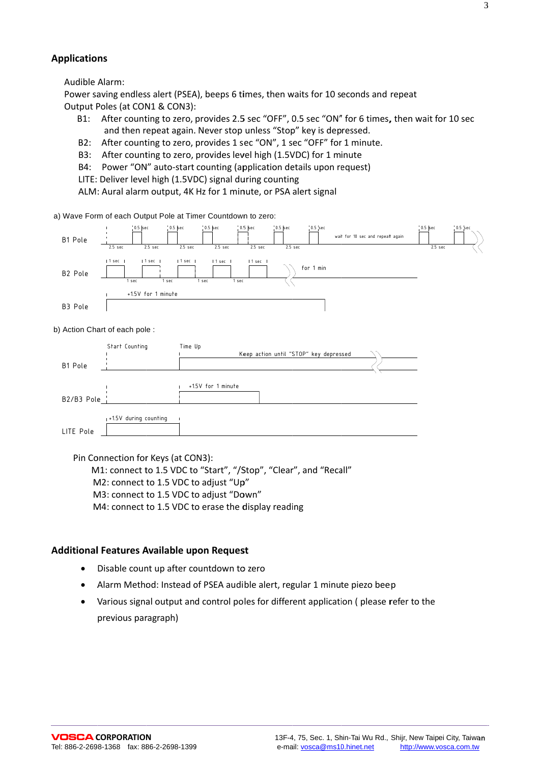#### **Applications**

Audible Alarm:

Power saving endless alert (PSEA), beeps 6 times, then waits for 10 seconds and repeat Output Poles (at CON1 & CON3):

- B1: After counting to zero, provides 2.5 sec "OFF", 0.5 sec "ON" for 6 times, then wait for 10 sec and then repeat again. Never stop unless "Stop" key is depressed.
- $B2:$ After counting to zero, provides 1 sec "ON", 1 sec "OFF" for 1 minute.
- B3: After counting to zero, provides level high (1.5VDC) for 1 minute
- Power "ON" auto-start counting (application details upon request) **B4:**
- LITE: Deliver level high (1.5VDC) signal during counting
- ALM: Aural alarm output, 4K Hz for 1 minute, or PSA alert signal

a) Wave Form of each Output Pole at Timer Countdown to zero:



b) Action Chart of each pole :

|              | Start Counting        | Time Up                                |  |
|--------------|-----------------------|----------------------------------------|--|
|              |                       | Keep action until "STOP" key depressed |  |
| B1 Pole      |                       |                                        |  |
|              |                       |                                        |  |
|              |                       | +1.5V for 1 minute                     |  |
| $B2/B3$ Pole |                       |                                        |  |
|              |                       |                                        |  |
|              | +1.5V during counting |                                        |  |
| LITE Pole    |                       |                                        |  |

Pin Connection for Keys (at CON3):

M1: connect to 1.5 VDC to "Start", "/Stop", "Clear", and "Recall"

M2: connect to 1.5 VDC to adjust "Up"

M3: connect to 1.5 VDC to adjust "Down"

M4: connect to 1.5 VDC to erase the display reading

#### Additional Features Available upon Request

- Disable count up after countdown to zero  $\bullet$
- Alarm Method: Instead of PSEA audible alert, regular 1 minute piezo beep  $\bullet$
- Various signal output and control poles for different application (please refer to the previous paragraph)